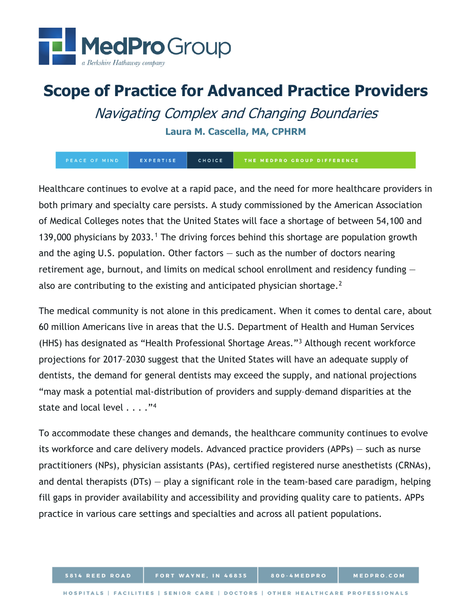

# **Scope of Practice for Advanced Practice Providers**

Navigating Complex and Changing Boundaries

**Laura M. Cascella, MA, CPHRM**

EXPERTISE PEACE OF MIND CHOICE THE MEDPRO GROUP DIFFERENCE

Healthcare continues to evolve at a rapid pace, and the need for more healthcare providers in both primary and specialty care persists. A study commissioned by the American Association of Medical Colleges notes that the United States will face a shortage of between 54,100 and [1](#page-9-0)39,000 physicians by 2033.<sup>1</sup> The driving forces behind this shortage are population growth and the aging U.S. population. Other factors — such as the number of doctors nearing retirement age, burnout, and limits on medical school enrollment and residency funding — also are contributing to the existing and anticipated physician shortage.<sup>[2](#page-9-1)</sup>

The medical community is not alone in this predicament. When it comes to dental care, about 60 million Americans live in areas that the U.S. Department of Health and Human Services (HHS) has designated as "Health Professional Shortage Areas."[3](#page-9-2) Although recent workforce projections for 2017–2030 suggest that the United States will have an adequate supply of dentists, the demand for general dentists may exceed the supply, and national projections "may mask a potential mal-distribution of providers and supply–demand disparities at the state and local level . . . . "[4](#page-9-3)

To accommodate these changes and demands, the healthcare community continues to evolve its workforce and care delivery models. Advanced practice providers (APPs) — such as nurse practitioners (NPs), physician assistants (PAs), certified registered nurse anesthetists (CRNAs), and dental therapists  $(DTs)$  – play a significant role in the team-based care paradigm, helping fill gaps in provider availability and accessibility and providing quality care to patients. APPs practice in various care settings and specialties and across all patient populations.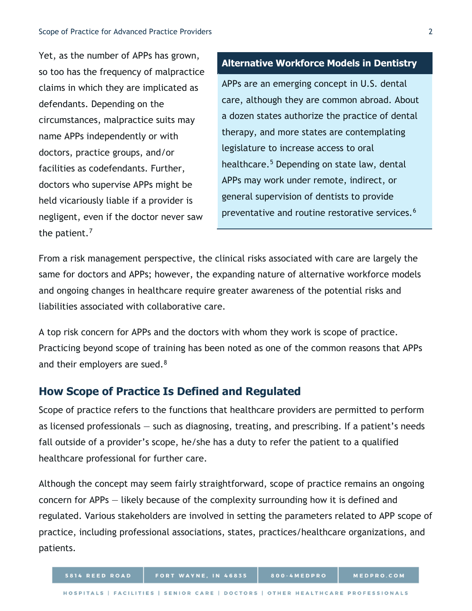Yet, as the number of APPs has grown, so too has the frequency of malpractice claims in which they are implicated as defendants. Depending on the circumstances, malpractice suits may name APPs independently or with doctors, practice groups, and/or facilities as codefendants. Further, doctors who supervise APPs might be held vicariously liable if a provider is negligent, even if the doctor never saw the patient.<sup>[7](#page-9-4)</sup>

## **Alternative Workforce Models in Dentistry**

APPs are an emerging concept in U.S. dental care, although they are common abroad. About a dozen states authorize the practice of dental therapy, and more states are contemplating legislature to increase access to oral healthcare.<sup>5</sup> Depending on state law, dental APPs may work under remote, indirect, or general supervision of dentists to provide preventative and routine restorative services.[6](#page-9-7)

From a risk management perspective, the clinical risks associated with care are largely the same for doctors and APPs; however, the expanding nature of alternative workforce models and ongoing changes in healthcare require greater awareness of the potential risks and liabilities associated with collaborative care.

A top risk concern for APPs and the doctors with whom they work is scope of practice. Practicing beyond scope of training has been noted as one of the common reasons that APPs and their employers are sued.<sup>[8](#page-9-5)</sup>

## **How Scope of Practice Is Defined and Regulated**

Scope of practice refers to the functions that healthcare providers are permitted to perform as licensed professionals — such as diagnosing, treating, and prescribing. If a patient's needs fall outside of a provider's scope, he/she has a duty to refer the patient to a qualified healthcare professional for further care.

Although the concept may seem fairly straightforward, scope of practice remains an ongoing concern for APPs — likely because of the complexity surrounding how it is defined and regulated. Various stakeholders are involved in setting the parameters related to APP scope of practice, including professional associations, states, practices/healthcare organizations, and patients.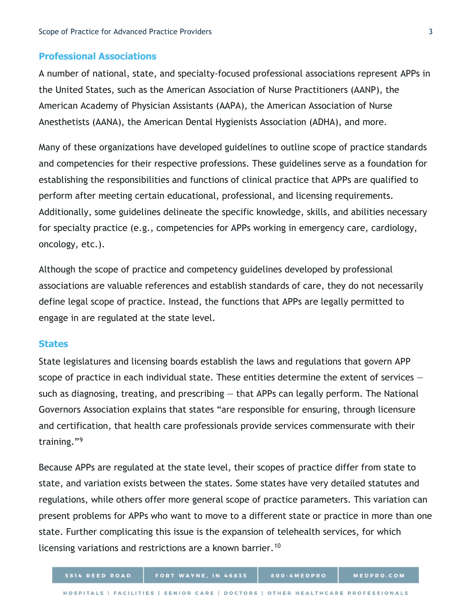#### **Professional Associations**

A number of national, state, and specialty-focused professional associations represent APPs in the United States, such as the American Association of Nurse Practitioners (AANP), the American Academy of Physician Assistants (AAPA), the American Association of Nurse Anesthetists (AANA), the American Dental Hygienists Association (ADHA), and more.

Many of these organizations have developed guidelines to outline scope of practice standards and competencies for their respective professions. These guidelines serve as a foundation for establishing the responsibilities and functions of clinical practice that APPs are qualified to perform after meeting certain educational, professional, and licensing requirements. Additionally, some guidelines delineate the specific knowledge, skills, and abilities necessary for specialty practice (e.g., competencies for APPs working in emergency care, cardiology, oncology, etc.).

Although the scope of practice and competency guidelines developed by professional associations are valuable references and establish standards of care, they do not necessarily define legal scope of practice. Instead, the functions that APPs are legally permitted to engage in are regulated at the state level.

#### **States**

State legislatures and licensing boards establish the laws and regulations that govern APP scope of practice in each individual state. These entities determine the extent of services such as diagnosing, treating, and prescribing — that APPs can legally perform. The National Governors Association explains that states "are responsible for ensuring, through licensure and certification, that health care professionals provide services commensurate with their training."[9](#page-9-8)

Because APPs are regulated at the state level, their scopes of practice differ from state to state, and variation exists between the states. Some states have very detailed statutes and regulations, while others offer more general scope of practice parameters. This variation can present problems for APPs who want to move to a different state or practice in more than one state. Further complicating this issue is the expansion of telehealth services, for which licensing variations and restrictions are a known barrier.<sup>[10](#page-9-9)</sup>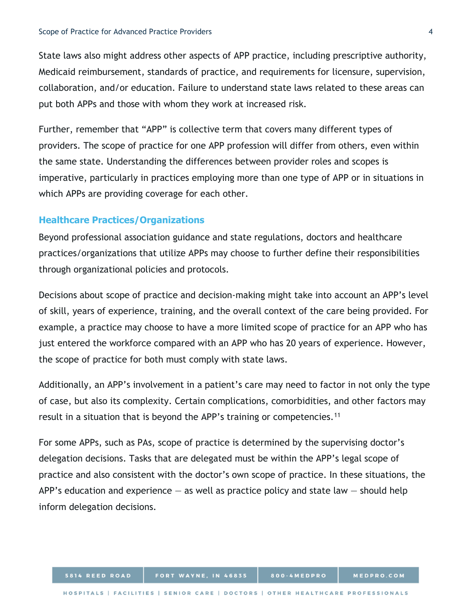State laws also might address other aspects of APP practice, including prescriptive authority, Medicaid reimbursement, standards of practice, and requirements for licensure, supervision, collaboration, and/or education. Failure to understand state laws related to these areas can put both APPs and those with whom they work at increased risk.

Further, remember that "APP" is collective term that covers many different types of providers. The scope of practice for one APP profession will differ from others, even within the same state. Understanding the differences between provider roles and scopes is imperative, particularly in practices employing more than one type of APP or in situations in which APPs are providing coverage for each other.

#### **Healthcare Practices/Organizations**

Beyond professional association guidance and state regulations, doctors and healthcare practices/organizations that utilize APPs may choose to further define their responsibilities through organizational policies and protocols.

Decisions about scope of practice and decision-making might take into account an APP's level of skill, years of experience, training, and the overall context of the care being provided. For example, a practice may choose to have a more limited scope of practice for an APP who has just entered the workforce compared with an APP who has 20 years of experience. However, the scope of practice for both must comply with state laws.

Additionally, an APP's involvement in a patient's care may need to factor in not only the type of case, but also its complexity. Certain complications, comorbidities, and other factors may result in a situation that is beyond the APP's training or competencies.<sup>[11](#page-9-10)</sup>

For some APPs, such as PAs, scope of practice is determined by the supervising doctor's delegation decisions. Tasks that are delegated must be within the APP's legal scope of practice and also consistent with the doctor's own scope of practice. In these situations, the APP's education and experience  $-$  as well as practice policy and state law  $-$  should help inform delegation decisions.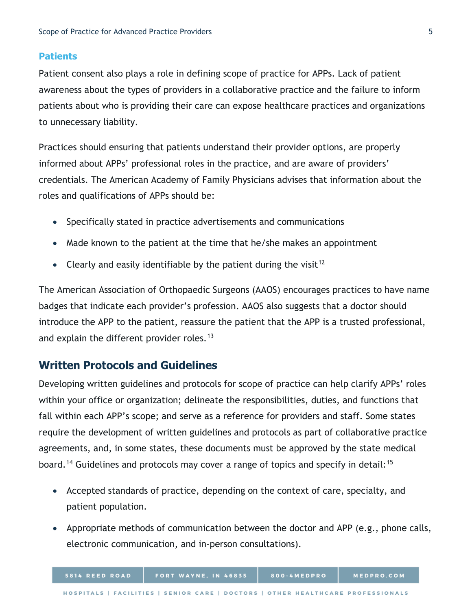#### **Patients**

Patient consent also plays a role in defining scope of practice for APPs. Lack of patient awareness about the types of providers in a collaborative practice and the failure to inform patients about who is providing their care can expose healthcare practices and organizations to unnecessary liability.

Practices should ensuring that patients understand their provider options, are properly informed about APPs' professional roles in the practice, and are aware of providers' credentials. The American Academy of Family Physicians advises that information about the roles and qualifications of APPs should be:

- Specifically stated in practice advertisements and communications
- Made known to the patient at the time that he/she makes an appointment
- Clearly and easily identifiable by the patient during the visit<sup>[12](#page-9-11)</sup>

The American Association of Orthopaedic Surgeons (AAOS) encourages practices to have name badges that indicate each provider's profession. AAOS also suggests that a doctor should introduce the APP to the patient, reassure the patient that the APP is a trusted professional, and explain the different provider roles.<sup>[13](#page-9-12)</sup>

## **Written Protocols and Guidelines**

Developing written guidelines and protocols for scope of practice can help clarify APPs' roles within your office or organization; delineate the responsibilities, duties, and functions that fall within each APP's scope; and serve as a reference for providers and staff. Some states require the development of written guidelines and protocols as part of collaborative practice agreements, and, in some states, these documents must be approved by the state medical board.<sup>[14](#page-9-13)</sup> Guidelines and protocols may cover a range of topics and specify in detail:<sup>[15](#page-9-14)</sup>

- Accepted standards of practice, depending on the context of care, specialty, and patient population.
- Appropriate methods of communication between the doctor and APP (e.g., phone calls, electronic communication, and in-person consultations).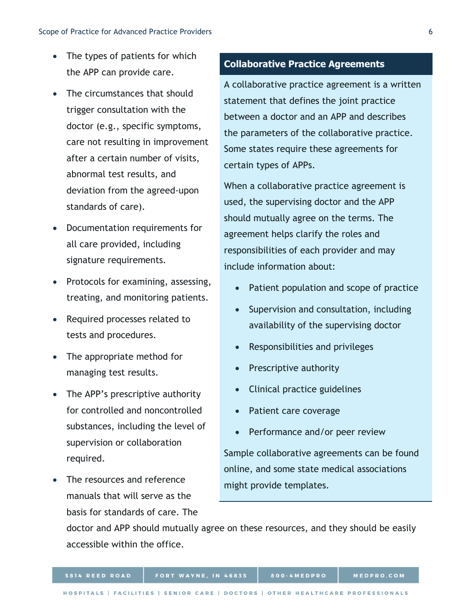- The types of patients for which the APP can provide care.
- The circumstances that should trigger consultation with the doctor (e.g., specific symptoms, care not resulting in improvement after a certain number of visits, abnormal test results, and deviation from the agreed-upon standards of care).
- Documentation requirements for all care provided, including signature requirements.
- Protocols for examining, assessing, treating, and monitoring patients.
- Required processes related to tests and procedures.
- The appropriate method for managing test results.
- The APP's prescriptive authority for controlled and noncontrolled substances, including the level of supervision or collaboration required.
- The resources and reference manuals that will serve as the basis for standards of care. The

## **Collaborative Practice Agreements**

A collaborative practice agreement is a written statement that defines the joint practice between a doctor and an APP and describes the parameters of the collaborative practice. Some states require these agreements for certain types of APPs.

When a collaborative practice agreement is used, the supervising doctor and the APP should mutually agree on the terms. The agreement helps clarify the roles and responsibilities of each provider and may include information about:

- Patient population and scope of practice
- Supervision and consultation, including availability of the supervising doctor
- Responsibilities and privileges
- Prescriptive authority
- Clinical practice guidelines
- Patient care coverage
- Performance and/or peer review

Sample collaborative agreements can be found online, and some state medical associations might provide templates.

doctor and APP should mutually agree on these resources, and they should be easily accessible within the office.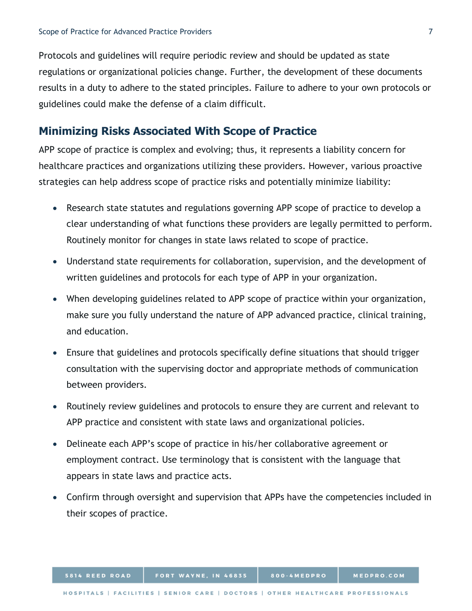Protocols and guidelines will require periodic review and should be updated as state regulations or organizational policies change. Further, the development of these documents results in a duty to adhere to the stated principles. Failure to adhere to your own protocols or guidelines could make the defense of a claim difficult.

# **Minimizing Risks Associated With Scope of Practice**

APP scope of practice is complex and evolving; thus, it represents a liability concern for healthcare practices and organizations utilizing these providers. However, various proactive strategies can help address scope of practice risks and potentially minimize liability:

- Research state statutes and regulations governing APP scope of practice to develop a clear understanding of what functions these providers are legally permitted to perform. Routinely monitor for changes in state laws related to scope of practice.
- Understand state requirements for collaboration, supervision, and the development of written guidelines and protocols for each type of APP in your organization.
- When developing guidelines related to APP scope of practice within your organization, make sure you fully understand the nature of APP advanced practice, clinical training, and education.
- Ensure that guidelines and protocols specifically define situations that should trigger consultation with the supervising doctor and appropriate methods of communication between providers.
- Routinely review guidelines and protocols to ensure they are current and relevant to APP practice and consistent with state laws and organizational policies.
- Delineate each APP's scope of practice in his/her collaborative agreement or employment contract. Use terminology that is consistent with the language that appears in state laws and practice acts.
- Confirm through oversight and supervision that APPs have the competencies included in their scopes of practice.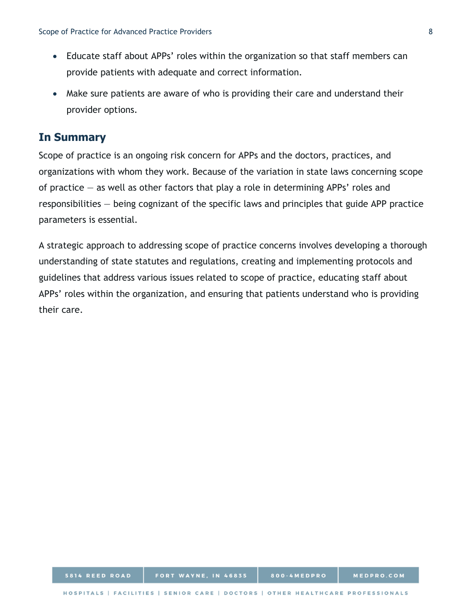- Educate staff about APPs' roles within the organization so that staff members can provide patients with adequate and correct information.
- Make sure patients are aware of who is providing their care and understand their provider options.

### **In Summary**

Scope of practice is an ongoing risk concern for APPs and the doctors, practices, and organizations with whom they work. Because of the variation in state laws concerning scope of practice  $-$  as well as other factors that play a role in determining APPs' roles and responsibilities — being cognizant of the specific laws and principles that guide APP practice parameters is essential.

A strategic approach to addressing scope of practice concerns involves developing a thorough understanding of state statutes and regulations, creating and implementing protocols and guidelines that address various issues related to scope of practice, educating staff about APPs' roles within the organization, and ensuring that patients understand who is providing their care.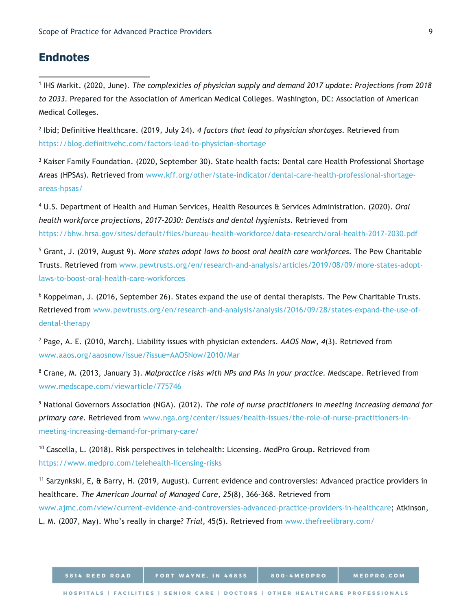# **Endnotes**

 $\overline{a}$ 

<sup>1</sup> IHS Markit. (2020, June). *The complexities of physician supply and demand 2017 update: Projections from 2018 to 2033.* Prepared for the Association of American Medical Colleges. Washington, DC: Association of American Medical Colleges.

<sup>2</sup> Ibid; Definitive Healthcare. (2019, July 24). *4 factors that lead to physician shortages.* Retrieved from <https://blog.definitivehc.com/factors-lead-to-physician-shortage>

<sup>3</sup> Kaiser Family Foundation. (2020, September 30). State health facts: Dental care Health Professional Shortage Areas (HPSAs). Retrieved from [www.kff.org/other/state-indicator/dental-care-health-professional-shortage](http://www.kff.org/other/state-indicator/dental-care-health-professional-shortage-areas-hpsas/)[areas-hpsas/](http://www.kff.org/other/state-indicator/dental-care-health-professional-shortage-areas-hpsas/)

<sup>4</sup> U.S. Department of Health and Human Services, Health Resources & Services Administration. (2020). *Oral health workforce projections, 2017-2030: Dentists and dental hygienists.* Retrieved from <https://bhw.hrsa.gov/sites/default/files/bureau-health-workforce/data-research/oral-health-2017-2030.pdf>

<sup>5</sup> Grant, J. (2019, August 9). *More states adopt laws to boost oral health care workforces.* The Pew Charitable Trusts. Retrieved from [www.pewtrusts.org/en/research-and-analysis/articles/2019/08/09/more-states-adopt](http://www.pewtrusts.org/en/research-and-analysis/articles/2019/08/09/more-states-adopt-laws-to-boost-oral-health-care-workforces)[laws-to-boost-oral-health-care-workforces](http://www.pewtrusts.org/en/research-and-analysis/articles/2019/08/09/more-states-adopt-laws-to-boost-oral-health-care-workforces)

<sup>6</sup> Koppelman, J. (2016, September 26). States expand the use of dental therapists. The Pew Charitable Trusts. Retrieved from [www.pewtrusts.org/en/research-and-analysis/analysis/2016/09/28/states-expand-the-use-of](http://www.pewtrusts.org/en/research-and-analysis/analysis/2016/09/28/states-expand-the-use-of-dental-therapy)[dental-therapy](http://www.pewtrusts.org/en/research-and-analysis/analysis/2016/09/28/states-expand-the-use-of-dental-therapy)

<sup>7</sup> Page, A. E. (2010, March). Liability issues with physician extenders. *AAOS Now, 4*(3). Retrieved from [www.aaos.org/aaosnow/issue/?issue=AAOSNow/2010/Mar](http://www.aaos.org/aaosnow/issue/?issue=AAOSNow/2010/Mar)

<sup>8</sup> Crane, M. (2013, January 3). *Malpractice risks with NPs and PAs in your practice.* Medscape. Retrieved from [www.medscape.com/viewarticle/775746](http://www.medscape.com/viewarticle/775746)

<sup>9</sup> National Governors Association (NGA). (2012). *The role of nurse practitioners in meeting increasing demand for primary care.* Retrieved from [www.nga.org/center/issues/health-issues/the-role-of-nurse-practitioners-in](http://www.nga.org/center/issues/health-issues/the-role-of-nurse-practitioners-in-meeting-increasing-demand-for-primary-care/)[meeting-increasing-demand-for-primary-care/](http://www.nga.org/center/issues/health-issues/the-role-of-nurse-practitioners-in-meeting-increasing-demand-for-primary-care/)

<sup>10</sup> Cascella, L. (2018). Risk perspectives in telehealth: Licensing. MedPro Group. Retrieved from <https://www.medpro.com/telehealth-licensing-risks>

<sup>11</sup> Sarzynkski, E, & Barry, H. (2019, August). Current evidence and controversies: Advanced practice providers in healthcare. *The American Journal of Managed Care, 25*(8), 366-368. Retrieved from [www.ajmc.com/view/current-evidence-and-controversies-advanced-practice-providers-in-healthcare;](http://www.ajmc.com/view/current-evidence-and-controversies-advanced-practice-providers-in-healthcare) Atkinson, L. M. (2007, May). Who's really in charge? *Trial,* 45(5). Retrieved from [www.thefreelibrary.com/](http://www.thefreelibrary.com/)